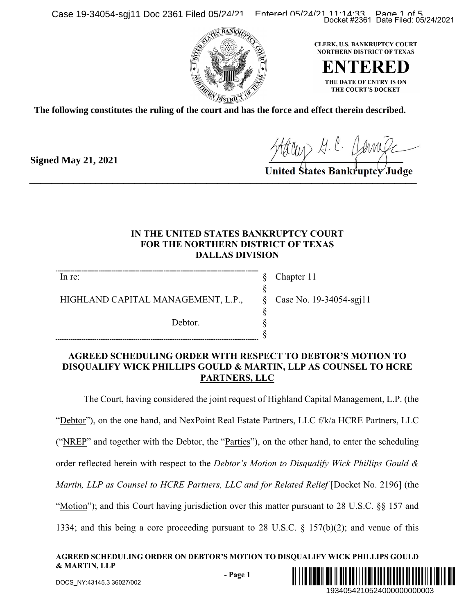Case 19-34054-sgj11 Doc 2361 Filed 05/24/21 Entered 05/24/21 11:14:33 Page 19-34054-sgj11 Doc 2361 Filed 05/24/2021





**The following constitutes the ruling of the court and has the force and effect therein described.**

Houry H. C. Jamile

## **IN THE UNITED STATES BANKRUPTCY COURT FOR THE NORTHERN DISTRICT OF TEXAS DALLAS DIVISION**

§ § § § § §

In re:

**Signed May 21, 2021**

HIGHLAND CAPITAL MANAGEMENT, L.P.,

Debtor.

Chapter 11 Case No. 19-34054-sgj11

### **AGREED SCHEDULING ORDER WITH RESPECT TO DEBTOR'S MOTION TO DISQUALIFY WICK PHILLIPS GOULD & MARTIN, LLP AS COUNSEL TO HCRE PARTNERS, LLC**

The Court, having considered the joint request of Highland Capital Management, L.P. (the "Debtor"), on the one hand, and NexPoint Real Estate Partners, LLC f/k/a HCRE Partners, LLC ("NREP" and together with the Debtor, the "Parties"), on the other hand, to enter the scheduling order reflected herein with respect to the *Debtor's Motion to Disqualify Wick Phillips Gould & Martin, LLP as Counsel to HCRE Partners, LLC and for Related Relief* [Docket No. 2196] (the "Motion"); and this Court having jurisdiction over this matter pursuant to 28 U.S.C. §§ 157 and 1334; and this being a core proceeding pursuant to 28 U.S.C. § 157(b)(2); and venue of this Docket #2361 Date Filed: 05/24/2021<br>
ERK, U.S. BANKRUPTCY COURT<br>
FRERE DITIE DATE OF ENTRY IS ON<br>
THE DATE OF ENTRY IS ON<br>
THE COURTS DOCKET<br>
COURT COURTS DOCKET<br>
COURTS MOTION TO<br>
BANKTUPTCY Judge<br>
BANKTUPTCY Judge<br>
BANKT

### **AGREED SCHEDULING ORDER ON DEBTOR'S MOTION TO DISQUALIFY WICK PHILLIPS GOULD & MARTIN, LLP**

**- Page 1**

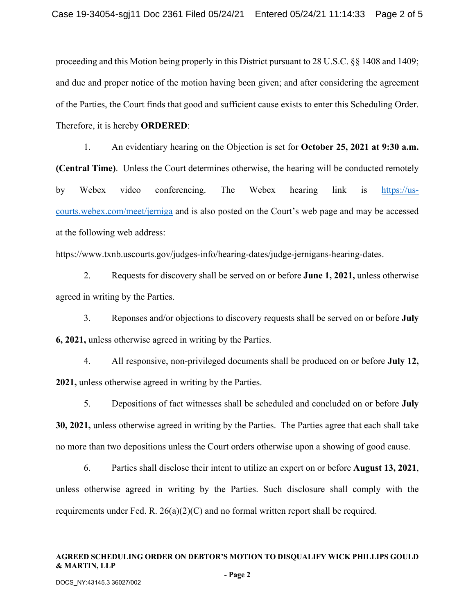proceeding and this Motion being properly in this District pursuant to 28 U.S.C. §§ 1408 and 1409; and due and proper notice of the motion having been given; and after considering the agreement of the Parties, the Court finds that good and sufficient cause exists to enter this Scheduling Order. Therefore, it is hereby **ORDERED**:

1. An evidentiary hearing on the Objection is set for **October 25, 2021 at 9:30 a.m. (Central Time)**. Unless the Court determines otherwise, the hearing will be conducted remotely by Webex video conferencing. The Webex hearing link is [https://us](https://us-courts.webex.com/meet/jerniga)[courts.webex.com/meet/jerniga](https://us-courts.webex.com/meet/jerniga) and is also posted on the Court's web page and may be accessed at the following web address:

https://www.txnb.uscourts.gov/judges-info/hearing-dates/judge-jernigans-hearing-dates.

2. Requests for discovery shall be served on or before **June 1, 2021,** unless otherwise agreed in writing by the Parties.

3. Reponses and/or objections to discovery requests shall be served on or before **July 6, 2021,** unless otherwise agreed in writing by the Parties.

4. All responsive, non-privileged documents shall be produced on or before **July 12, 2021,** unless otherwise agreed in writing by the Parties.

5. Depositions of fact witnesses shall be scheduled and concluded on or before **July 30, 2021,** unless otherwise agreed in writing by the Parties. The Parties agree that each shall take no more than two depositions unless the Court orders otherwise upon a showing of good cause.

6. Parties shall disclose their intent to utilize an expert on or before **August 13, 2021**, unless otherwise agreed in writing by the Parties. Such disclosure shall comply with the requirements under Fed. R.  $26(a)(2)(C)$  and no formal written report shall be required.

### **AGREED SCHEDULING ORDER ON DEBTOR'S MOTION TO DISQUALIFY WICK PHILLIPS GOULD & MARTIN, LLP**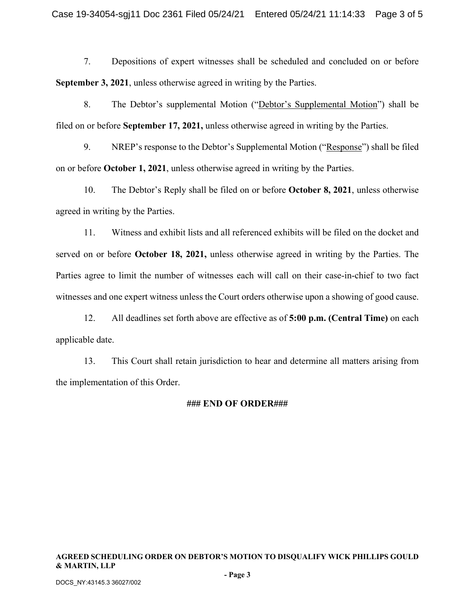7. Depositions of expert witnesses shall be scheduled and concluded on or before **September 3, 2021**, unless otherwise agreed in writing by the Parties.

8. The Debtor's supplemental Motion ("Debtor's Supplemental Motion") shall be filed on or before **September 17, 2021,** unless otherwise agreed in writing by the Parties.

9. NREP's response to the Debtor's Supplemental Motion ("Response") shall be filed on or before **October 1, 2021**, unless otherwise agreed in writing by the Parties.

10. The Debtor's Reply shall be filed on or before **October 8, 2021**, unless otherwise agreed in writing by the Parties.

11. Witness and exhibit lists and all referenced exhibits will be filed on the docket and served on or before **October 18, 2021,** unless otherwise agreed in writing by the Parties. The Parties agree to limit the number of witnesses each will call on their case-in-chief to two fact witnesses and one expert witness unless the Court orders otherwise upon a showing of good cause.

12. All deadlines set forth above are effective as of **5:00 p.m. (Central Time)** on each applicable date.

13. This Court shall retain jurisdiction to hear and determine all matters arising from the implementation of this Order.

#### **### END OF ORDER###**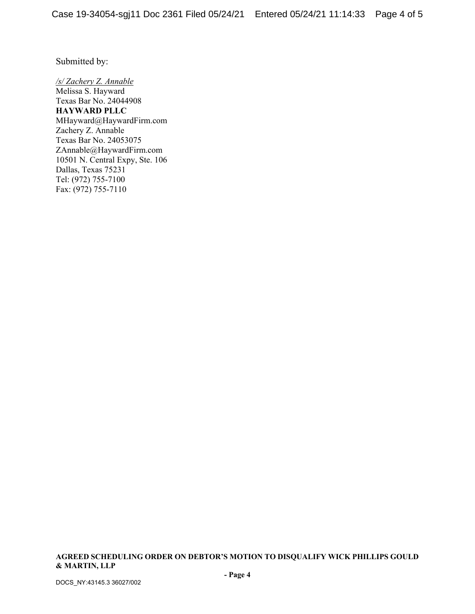Submitted by:

*/s/ Zachery Z. Annable* Melissa S. Hayward Texas Bar No. 24044908 **HAYWARD PLLC** MHayward@HaywardFirm.com Zachery Z. Annable Texas Bar No. 24053075 ZAnnable@HaywardFirm.com 10501 N. Central Expy, Ste. 106 Dallas, Texas 75231 Tel: (972) 755-7100 Fax: (972) 755-7110

**AGREED SCHEDULING ORDER ON DEBTOR'S MOTION TO DISQUALIFY WICK PHILLIPS GOULD & MARTIN, LLP**